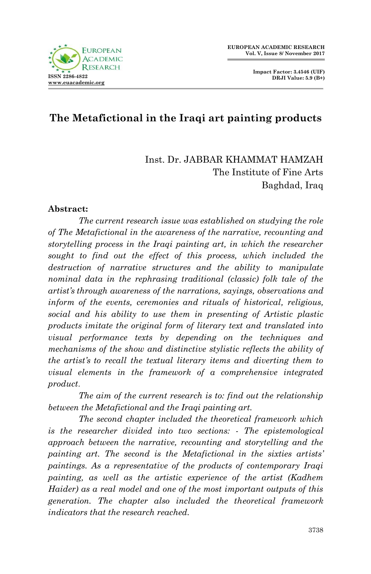**Impact Factor: 3.4546 (UIF) DRJI Value: 5.9 (B+)**



# **The Metafictional in the Iraqi art painting products**

Inst. Dr. JABBAR KHAMMAT HAMZAH The Institute of Fine Arts Baghdad, Iraq

#### **Abstract:**

*The current research issue was established on studying the role of The Metafictional in the awareness of the narrative, recounting and storytelling process in the Iraqi painting art, in which the researcher*  sought to find out the effect of this process, which included the *destruction of narrative structures and the ability to manipulate nominal data in the rephrasing traditional (classic) folk tale of the artist's through awareness of the narrations, sayings, observations and inform of the events, ceremonies and rituals of historical, religious, social and his ability to use them in presenting of Artistic plastic products imitate the original form of literary text and translated into visual performance texts by depending on the techniques and mechanisms of the show and distinctive stylistic reflects the ability of the artist's to recall the textual literary items and diverting them to visual elements in the framework of a comprehensive integrated product*.

*The aim of the current research is to: find out the relationship between the Metafictional and the Iraqi painting art.*

*The second chapter included the theoretical framework which is the researcher divided into two sections: - The epistemological approach between the narrative, recounting and storytelling and the painting art. The second is the Metafictional in the sixties artists' paintings. As a representative of the products of contemporary Iraqi painting, as well as the artistic experience of the artist (Kadhem Haider) as a real model and one of the most important outputs of this generation. The chapter also included the theoretical framework indicators that the research reached.*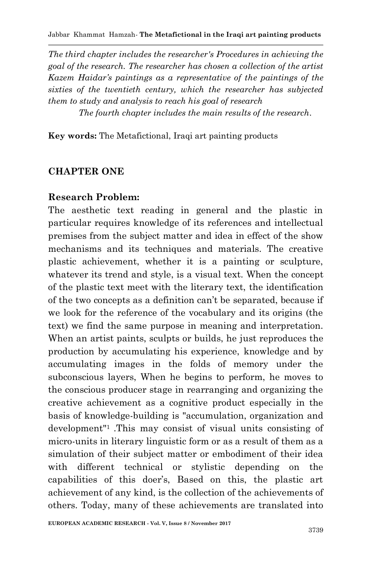*The third chapter includes the researcher's Procedures in achieving the goal of the research. The researcher has chosen a collection of the artist Kazem Haidar's paintings as a representative of the paintings of the sixties of the twentieth century, which the researcher has subjected them to study and analysis to reach his goal of research*

*The fourth chapter includes the main results of the research.*

**Key words:** The Metafictional, Iraqi art painting products

## **CHAPTER ONE**

#### **Research Problem:**

The aesthetic text reading in general and the plastic in particular requires knowledge of its references and intellectual premises from the subject matter and idea in effect of the show mechanisms and its techniques and materials. The creative plastic achievement, whether it is a painting or sculpture, whatever its trend and style, is a visual text. When the concept of the plastic text meet with the literary text, the identification of the two concepts as a definition can't be separated, because if we look for the reference of the vocabulary and its origins (the text) we find the same purpose in meaning and interpretation. When an artist paints, sculpts or builds, he just reproduces the production by accumulating his experience, knowledge and by accumulating images in the folds of memory under the subconscious layers, When he begins to perform, he moves to the conscious producer stage in rearranging and organizing the creative achievement as a cognitive product especially in the basis of knowledge-building is "accumulation, organization and development"1 .This may consist of visual units consisting of micro-units in literary linguistic form or as a result of them as a simulation of their subject matter or embodiment of their idea with different technical or stylistic depending on the capabilities of this doer's, Based on this, the plastic art achievement of any kind, is the collection of the achievements of others. Today, many of these achievements are translated into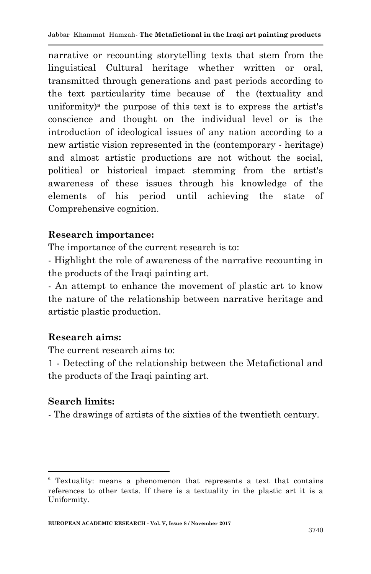narrative or recounting storytelling texts that stem from the linguistical Cultural heritage whether written or oral, transmitted through generations and past periods according to the text particularity time because of the (textuality and uniformity)<sup>a</sup> the purpose of this text is to express the artist's conscience and thought on the individual level or is the introduction of ideological issues of any nation according to a new artistic vision represented in the (contemporary - heritage) and almost artistic productions are not without the social, political or historical impact stemming from the artist's awareness of these issues through his knowledge of the elements of his period until achieving the state of Comprehensive cognition.

## **Research importance:**

The importance of the current research is to:

- Highlight the role of awareness of the narrative recounting in the products of the Iraqi painting art.

- An attempt to enhance the movement of plastic art to know the nature of the relationship between narrative heritage and artistic plastic production.

#### **Research aims:**

The current research aims to:

1 - Detecting of the relationship between the Metafictional and the products of the Iraqi painting art.

## **Search limits:**

1

- The drawings of artists of the sixties of the twentieth century.

<sup>&</sup>lt;sup>a</sup> Textuality: means a phenomenon that represents a text that contains references to other texts. If there is a textuality in the plastic art it is a Uniformity.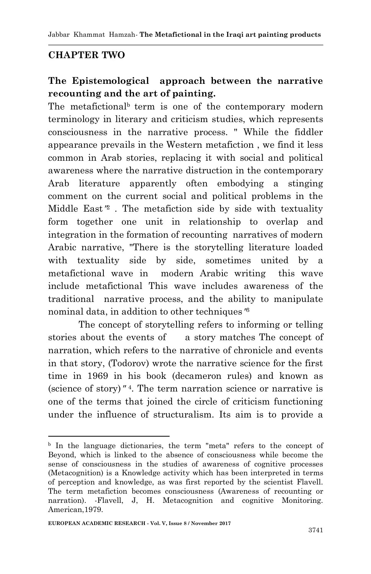Jabbar Khammat Hamzah*-* **The Metafictional in the Iraqi art painting products**

## **CHAPTER TWO**

## **The Epistemological approach between the narrative recounting and the art of painting.**

The metafictional<sup>b</sup> term is one of the contemporary modern terminology in literary and criticism studies, which represents consciousness in the narrative process. " While the fiddler appearance prevails in the Western metafiction , we find it less common in Arab stories, replacing it with social and political awareness where the narrative distruction in the contemporary Arab literature apparently often embodying a stinging comment on the current social and political problems in the Middle East" 2 . The metafiction side by side with textuality form together one unit in relationship to overlap and integration in the formation of recounting narratives of modern Arabic narrative, "There is the storytelling literature loaded with textuality side by side, sometimes united by a metafictional wave in modern Arabic writing this wave include metafictional This wave includes awareness of the traditional narrative process, and the ability to manipulate nominal data, in addition to other techniques" 3

The concept of storytelling refers to informing or telling stories about the events of a story matches The concept of narration, which refers to the narrative of chronicle and events in that story, (Todorov) wrote the narrative science for the first time in 1969 in his book (decameron rules) and known as (science of story)" 4 . The term narration science or narrative is one of the terms that joined the circle of criticism functioning under the influence of structuralism. Its aim is to provide a

1

<sup>b</sup> In the language dictionaries, the term "meta" refers to the concept of Beyond, which is linked to the absence of consciousness while become the sense of consciousness in the studies of awareness of cognitive processes (Metacognition) is a Knowledge activity which has been interpreted in terms of perception and knowledge, as was first reported by the scientist Flavell. The term metafiction becomes consciousness (Awareness of recounting or narration). -Flavell, J, H. Metacognition and cognitive Monitoring. American,1979.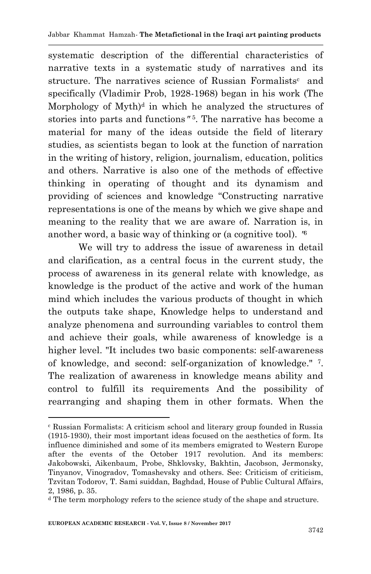systematic description of the differential characteristics of narrative texts in a systematic study of narratives and its structure. The narratives science of Russian Formalists<sup>c</sup> and specifically (Vladimir Prob, 1928-1968) began in his work (The Morphology of  $Myth)^d$  in which he analyzed the structures of stories into parts and functions" 5 . The narrative has become a material for many of the ideas outside the field of literary studies, as scientists began to look at the function of narration in the writing of history, religion, journalism, education, politics and others. Narrative is also one of the methods of effective thinking in operating of thought and its dynamism and providing of sciences and knowledge "Constructing narrative representations is one of the means by which we give shape and meaning to the reality that we are aware of. Narration is, in another word, a basic way of thinking or (a cognitive tool). " 6

We will try to address the issue of awareness in detail and clarification, as a central focus in the current study, the process of awareness in its general relate with knowledge, as knowledge is the product of the active and work of the human mind which includes the various products of thought in which the outputs take shape, Knowledge helps to understand and analyze phenomena and surrounding variables to control them and achieve their goals, while awareness of knowledge is a higher level. "It includes two basic components: self-awareness of knowledge, and second: self-organization of knowledge." <sup>7</sup> . The realization of awareness in knowledge means ability and control to fulfill its requirements And the possibility of rearranging and shaping them in other formats. When the

<sup>1</sup> <sup>c</sup> Russian Formalists: A criticism school and literary group founded in Russia (1915-1930), their most important ideas focused on the aesthetics of form. Its influence diminished and some of its members emigrated to Western Europe after the events of the October 1917 revolution. And its members: Jakobowski, Aikenbaum, Probe, Shklovsky, Bakhtin, Jacobson, Jermonsky, Tinyanov, Vinogradov, Tomashevsky and others. See: Criticism of criticism, Tzvitan Todorov, T. Sami suiddan, Baghdad, House of Public Cultural Affairs, 2, 1986, p. 35.

<sup>d</sup> The term morphology refers to the science study of the shape and structure.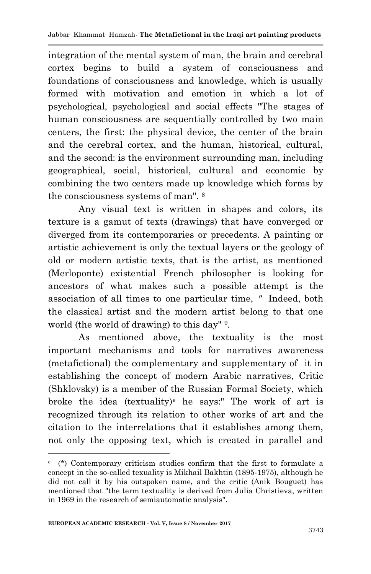integration of the mental system of man, the brain and cerebral cortex begins to build a system of consciousness and foundations of consciousness and knowledge, which is usually formed with motivation and emotion in which a lot of psychological, psychological and social effects "The stages of human consciousness are sequentially controlled by two main centers, the first: the physical device, the center of the brain and the cerebral cortex, and the human, historical, cultural, and the second: is the environment surrounding man, including geographical, social, historical, cultural and economic by combining the two centers made up knowledge which forms by the consciousness systems of man". <sup>8</sup>

Any visual text is written in shapes and colors, its texture is a gamut of texts (drawings) that have converged or diverged from its contemporaries or precedents. A painting or artistic achievement is only the textual layers or the geology of old or modern artistic texts, that is the artist, as mentioned (Merloponte) existential French philosopher is looking for ancestors of what makes such a possible attempt is the association of all times to one particular time, " Indeed, both the classical artist and the modern artist belong to that one world (the world of drawing) to this day" 9.

As mentioned above, the textuality is the most important mechanisms and tools for narratives awareness (metafictional) the complementary and supplementary of it in establishing the concept of modern Arabic narratives, Critic (Shklovsky) is a member of the Russian Formal Society, which broke the idea (textuality)<sup>e</sup> he says:" The work of art is recognized through its relation to other works of art and the citation to the interrelations that it establishes among them, not only the opposing text, which is created in parallel and

1

e (\*) Contemporary criticism studies confirm that the first to formulate a concept in the so-called texuality is Mikhail Bakhtin (1895-1975), although he did not call it by his outspoken name, and the critic (Anik Bouguet) has mentioned that "the term textuality is derived from Julia Christieva, written in 1969 in the research of semiautomatic analysis".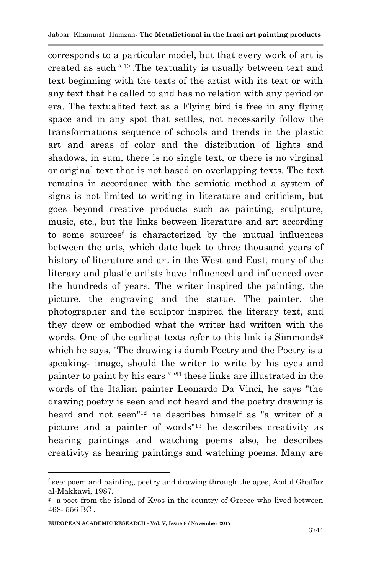corresponds to a particular model, but that every work of art is created as such" <sup>10</sup>.The textuality is usually between text and text beginning with the texts of the artist with its text or with any text that he called to and has no relation with any period or era. The textualited text as a Flying bird is free in any flying space and in any spot that settles, not necessarily follow the transformations sequence of schools and trends in the plastic art and areas of color and the distribution of lights and shadows, in sum, there is no single text, or there is no virginal or original text that is not based on overlapping texts. The text remains in accordance with the semiotic method a system of signs is not limited to writing in literature and criticism, but goes beyond creative products such as painting, sculpture, music, etc., but the links between literature and art according to some sources<sup>f</sup> is characterized by the mutual influences between the arts, which date back to three thousand years of history of literature and art in the West and East, many of the literary and plastic artists have influenced and influenced over the hundreds of years, The writer inspired the painting, the picture, the engraving and the statue. The painter, the photographer and the sculptor inspired the literary text, and they drew or embodied what the writer had written with the words. One of the earliest texts refer to this link is Simmonds<sup>g</sup> which he says, "The drawing is dumb Poetry and the Poetry is a speaking- image, should the writer to write by his eyes and painter to paint by his ears" "<sup>11</sup> these links are illustrated in the words of the Italian painter Leonardo Da Vinci, he says "the drawing poetry is seen and not heard and the poetry drawing is heard and not seen"12 he describes himself as "a writer of a picture and a painter of words"<sup>13</sup> he describes creativity as hearing paintings and watching poems also, he describes creativity as hearing paintings and watching poems. Many are

1

<sup>f</sup> see: poem and painting, poetry and drawing through the ages, Abdul Ghaffar al-Makkawi, 1987.

<sup>g</sup> a poet from the island of Kyos in the country of Greece who lived between 468- 556 BC .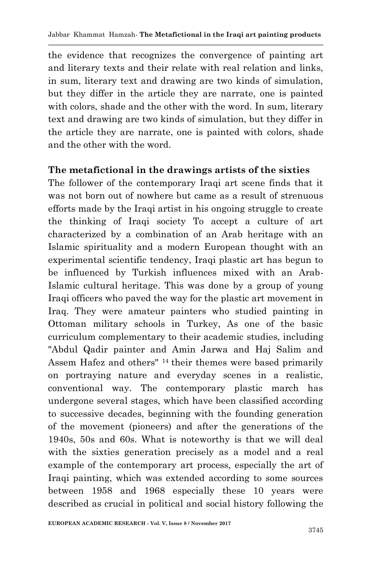the evidence that recognizes the convergence of painting art and literary texts and their relate with real relation and links, in sum, literary text and drawing are two kinds of simulation, but they differ in the article they are narrate, one is painted with colors, shade and the other with the word. In sum, literary text and drawing are two kinds of simulation, but they differ in the article they are narrate, one is painted with colors, shade and the other with the word.

#### **The metafictional in the drawings artists of the sixties**

The follower of the contemporary Iraqi art scene finds that it was not born out of nowhere but came as a result of strenuous efforts made by the Iraqi artist in his ongoing struggle to create the thinking of Iraqi society To accept a culture of art characterized by a combination of an Arab heritage with an Islamic spirituality and a modern European thought with an experimental scientific tendency, Iraqi plastic art has begun to be influenced by Turkish influences mixed with an Arab-Islamic cultural heritage. This was done by a group of young Iraqi officers who paved the way for the plastic art movement in Iraq. They were amateur painters who studied painting in Ottoman military schools in Turkey, As one of the basic curriculum complementary to their academic studies, including "Abdul Qadir painter and Amin Jarwa and Haj Salim and Assem Hafez and others" 14 their themes were based primarily on portraying nature and everyday scenes in a realistic, conventional way. The contemporary plastic march has undergone several stages, which have been classified according to successive decades, beginning with the founding generation of the movement (pioneers) and after the generations of the 1940s, 50s and 60s. What is noteworthy is that we will deal with the sixties generation precisely as a model and a real example of the contemporary art process, especially the art of Iraqi painting, which was extended according to some sources between 1958 and 1968 especially these 10 years were described as crucial in political and social history following the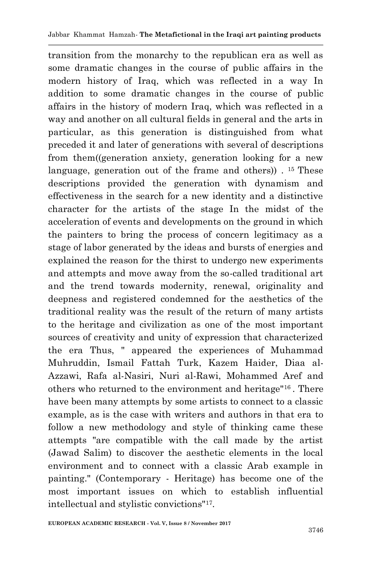transition from the monarchy to the republican era as well as some dramatic changes in the course of public affairs in the modern history of Iraq, which was reflected in a way In addition to some dramatic changes in the course of public affairs in the history of modern Iraq, which was reflected in a way and another on all cultural fields in general and the arts in particular, as this generation is distinguished from what preceded it and later of generations with several of descriptions from them((generation anxiety, generation looking for a new language, generation out of the frame and others).  $15$  These descriptions provided the generation with dynamism and effectiveness in the search for a new identity and a distinctive character for the artists of the stage In the midst of the acceleration of events and developments on the ground in which the painters to bring the process of concern legitimacy as a stage of labor generated by the ideas and bursts of energies and explained the reason for the thirst to undergo new experiments and attempts and move away from the so-called traditional art and the trend towards modernity, renewal, originality and deepness and registered condemned for the aesthetics of the traditional reality was the result of the return of many artists to the heritage and civilization as one of the most important sources of creativity and unity of expression that characterized the era Thus, " appeared the experiences of Muhammad Muhruddin, Ismail Fattah Turk, Kazem Haider, Diaa al-Azzawi, Rafa al-Nasiri, Nuri al-Rawi, Mohammed Aref and others who returned to the environment and heritage"16 . There have been many attempts by some artists to connect to a classic example, as is the case with writers and authors in that era to follow a new methodology and style of thinking came these attempts "are compatible with the call made by the artist (Jawad Salim) to discover the aesthetic elements in the local environment and to connect with a classic Arab example in painting." (Contemporary - Heritage) has become one of the most important issues on which to establish influential intellectual and stylistic convictions"<sup>17</sup> .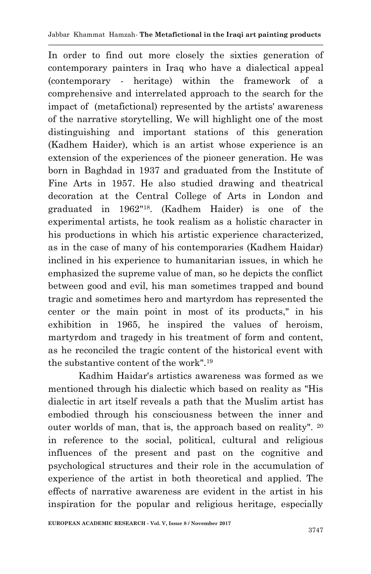In order to find out more closely the sixties generation of contemporary painters in Iraq who have a dialectical appeal (contemporary - heritage) within the framework of a comprehensive and interrelated approach to the search for the impact of (metafictional) represented by the artists' awareness of the narrative storytelling, We will highlight one of the most distinguishing and important stations of this generation (Kadhem Haider), which is an artist whose experience is an extension of the experiences of the pioneer generation. He was born in Baghdad in 1937 and graduated from the Institute of Fine Arts in 1957. He also studied drawing and theatrical decoration at the Central College of Arts in London and graduated in 1962"18. (Kadhem Haider) is one of the experimental artists, he took realism as a holistic character in his productions in which his artistic experience characterized, as in the case of many of his contemporaries (Kadhem Haidar) inclined in his experience to humanitarian issues, in which he emphasized the supreme value of man, so he depicts the conflict between good and evil, his man sometimes trapped and bound tragic and sometimes hero and martyrdom has represented the center or the main point in most of its products," in his exhibition in 1965, he inspired the values of heroism, martyrdom and tragedy in his treatment of form and content, as he reconciled the tragic content of the historical event with the substantive content of the work"  $19$ 

Kadhim Haidar's artistics awareness was formed as we mentioned through his dialectic which based on reality as "His dialectic in art itself reveals a path that the Muslim artist has embodied through his consciousness between the inner and outer worlds of man, that is, the approach based on reality". <sup>20</sup> in reference to the social, political, cultural and religious influences of the present and past on the cognitive and psychological structures and their role in the accumulation of experience of the artist in both theoretical and applied. The effects of narrative awareness are evident in the artist in his inspiration for the popular and religious heritage, especially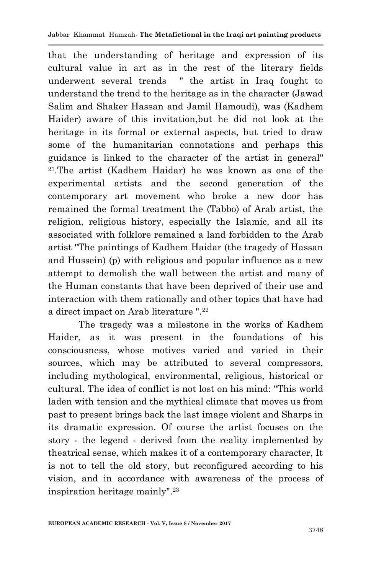that the understanding of heritage and expression of its cultural value in art as in the rest of the literary fields underwent several trends " the artist in Iraq fought to understand the trend to the heritage as in the character (Jawad Salim and Shaker Hassan and Jamil Hamoudi), was (Kadhem Haider) aware of this invitation,but he did not look at the heritage in its formal or external aspects, but tried to draw some of the humanitarian connotations and perhaps this guidance is linked to the character of the artist in general" <sup>21</sup>.The artist (Kadhem Haidar) he was known as one of the experimental artists and the second generation of the contemporary art movement who broke a new door has remained the formal treatment the (Tabbo) of Arab artist, the religion, religious history, especially the Islamic, and all its associated with folklore remained a land forbidden to the Arab artist "The paintings of Kadhem Haidar (the tragedy of Hassan and Hussein) (p) with religious and popular influence as a new attempt to demolish the wall between the artist and many of the Human constants that have been deprived of their use and interaction with them rationally and other topics that have had a direct impact on Arab literature ".<sup>22</sup>

The tragedy was a milestone in the works of Kadhem Haider, as it was present in the foundations of his consciousness, whose motives varied and varied in their sources, which may be attributed to several compressors, including mythological, environmental, religious, historical or cultural. The idea of conflict is not lost on his mind: "This world laden with tension and the mythical climate that moves us from past to present brings back the last image violent and Sharps in its dramatic expression. Of course the artist focuses on the story - the legend - derived from the reality implemented by theatrical sense, which makes it of a contemporary character, It is not to tell the old story, but reconfigured according to his vision, and in accordance with awareness of the process of inspiration heritage mainly". 23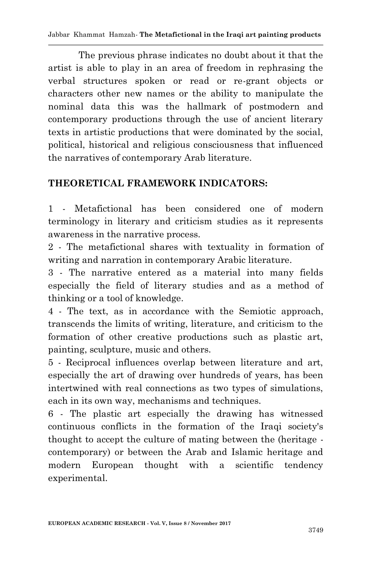Jabbar Khammat Hamzah*-* **The Metafictional in the Iraqi art painting products**

The previous phrase indicates no doubt about it that the artist is able to play in an area of freedom in rephrasing the verbal structures spoken or read or re-grant objects or characters other new names or the ability to manipulate the nominal data this was the hallmark of postmodern and contemporary productions through the use of ancient literary texts in artistic productions that were dominated by the social, political, historical and religious consciousness that influenced the narratives of contemporary Arab literature.

## **THEORETICAL FRAMEWORK INDICATORS:**

1 - Metafictional has been considered one of modern terminology in literary and criticism studies as it represents awareness in the narrative process.

2 - The metafictional shares with textuality in formation of writing and narration in contemporary Arabic literature.

3 - The narrative entered as a material into many fields especially the field of literary studies and as a method of thinking or a tool of knowledge.

4 - The text, as in accordance with the Semiotic approach, transcends the limits of writing, literature, and criticism to the formation of other creative productions such as plastic art, painting, sculpture, music and others.

5 - Reciprocal influences overlap between literature and art, especially the art of drawing over hundreds of years, has been intertwined with real connections as two types of simulations, each in its own way, mechanisms and techniques.

6 - The plastic art especially the drawing has witnessed continuous conflicts in the formation of the Iraqi society's thought to accept the culture of mating between the (heritage contemporary) or between the Arab and Islamic heritage and modern European thought with a scientific tendency experimental.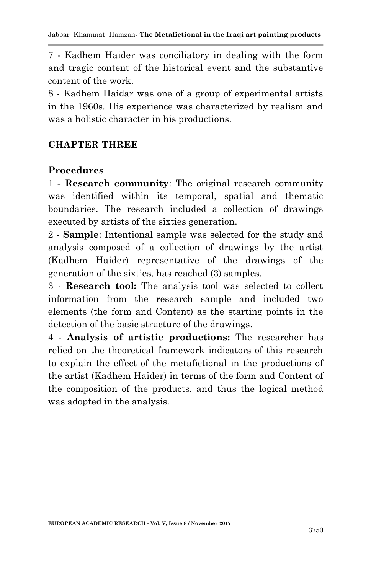7 - Kadhem Haider was conciliatory in dealing with the form and tragic content of the historical event and the substantive content of the work.

8 - Kadhem Haidar was one of a group of experimental artists in the 1960s. His experience was characterized by realism and was a holistic character in his productions.

## **CHAPTER THREE**

## **Procedures**

1 **- Research community**: The original research community was identified within its temporal, spatial and thematic boundaries. The research included a collection of drawings executed by artists of the sixties generation.

2 - **Sample**: Intentional sample was selected for the study and analysis composed of a collection of drawings by the artist (Kadhem Haider) representative of the drawings of the generation of the sixties, has reached (3) samples.

3 - **Research tool:** The analysis tool was selected to collect information from the research sample and included two elements (the form and Content) as the starting points in the detection of the basic structure of the drawings.

4 - **Analysis of artistic productions:** The researcher has relied on the theoretical framework indicators of this research to explain the effect of the metafictional in the productions of the artist (Kadhem Haider) in terms of the form and Content of the composition of the products, and thus the logical method was adopted in the analysis.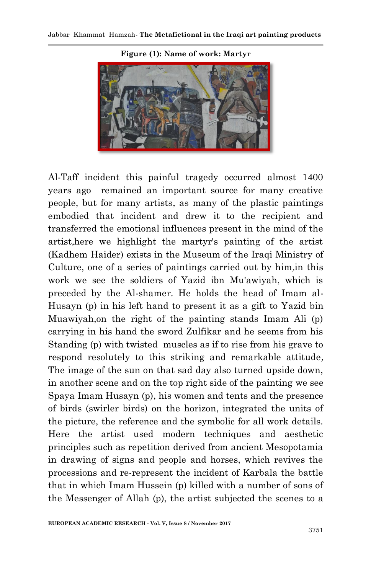

**Figure (1): Name of work: Martyr**

Al-Taff incident this painful tragedy occurred almost 1400 years ago remained an important source for many creative people, but for many artists, as many of the plastic paintings embodied that incident and drew it to the recipient and transferred the emotional influences present in the mind of the artist,here we highlight the martyr's painting of the artist (Kadhem Haider) exists in the Museum of the Iraqi Ministry of Culture, one of a series of paintings carried out by him,in this work we see the soldiers of Yazid ibn Mu'awiyah, which is preceded by the Al-shamer. He holds the head of Imam al-Husayn (p) in his left hand to present it as a gift to Yazid bin Muawiyah,on the right of the painting stands Imam Ali (p) carrying in his hand the sword Zulfikar and he seems from his Standing (p) with twisted muscles as if to rise from his grave to respond resolutely to this striking and remarkable attitude, The image of the sun on that sad day also turned upside down, in another scene and on the top right side of the painting we see Spaya Imam Husayn (p), his women and tents and the presence of birds (swirler birds) on the horizon, integrated the units of the picture, the reference and the symbolic for all work details. Here the artist used modern techniques and aesthetic principles such as repetition derived from ancient Mesopotamia in drawing of signs and people and horses, which revives the processions and re-represent the incident of Karbala the battle that in which Imam Hussein (p) killed with a number of sons of the Messenger of Allah (p), the artist subjected the scenes to a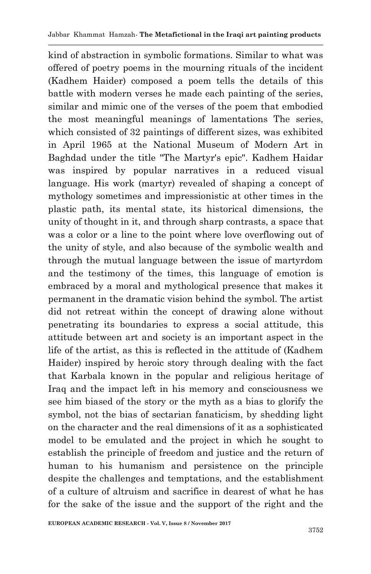kind of abstraction in symbolic formations. Similar to what was offered of poetry poems in the mourning rituals of the incident (Kadhem Haider) composed a poem tells the details of this battle with modern verses he made each painting of the series, similar and mimic one of the verses of the poem that embodied the most meaningful meanings of lamentations The series, which consisted of 32 paintings of different sizes, was exhibited in April 1965 at the National Museum of Modern Art in Baghdad under the title "The Martyr's epic". Kadhem Haidar was inspired by popular narratives in a reduced visual language. His work (martyr) revealed of shaping a concept of mythology sometimes and impressionistic at other times in the plastic path, its mental state, its historical dimensions, the unity of thought in it, and through sharp contrasts, a space that was a color or a line to the point where love overflowing out of the unity of style, and also because of the symbolic wealth and through the mutual language between the issue of martyrdom and the testimony of the times, this language of emotion is embraced by a moral and mythological presence that makes it permanent in the dramatic vision behind the symbol. The artist did not retreat within the concept of drawing alone without penetrating its boundaries to express a social attitude, this attitude between art and society is an important aspect in the life of the artist, as this is reflected in the attitude of (Kadhem Haider) inspired by heroic story through dealing with the fact that Karbala known in the popular and religious heritage of Iraq and the impact left in his memory and consciousness we see him biased of the story or the myth as a bias to glorify the symbol, not the bias of sectarian fanaticism, by shedding light on the character and the real dimensions of it as a sophisticated model to be emulated and the project in which he sought to establish the principle of freedom and justice and the return of human to his humanism and persistence on the principle despite the challenges and temptations, and the establishment of a culture of altruism and sacrifice in dearest of what he has for the sake of the issue and the support of the right and the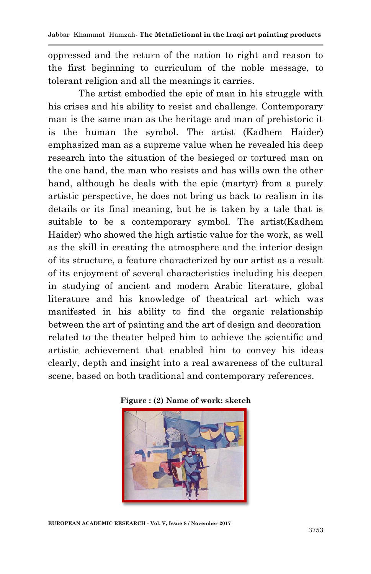oppressed and the return of the nation to right and reason to the first beginning to curriculum of the noble message, to tolerant religion and all the meanings it carries.

The artist embodied the epic of man in his struggle with his crises and his ability to resist and challenge. Contemporary man is the same man as the heritage and man of prehistoric it is the human the symbol. The artist (Kadhem Haider) emphasized man as a supreme value when he revealed his deep research into the situation of the besieged or tortured man on the one hand, the man who resists and has wills own the other hand, although he deals with the epic (martyr) from a purely artistic perspective, he does not bring us back to realism in its details or its final meaning, but he is taken by a tale that is suitable to be a contemporary symbol. The artist(Kadhem Haider) who showed the high artistic value for the work, as well as the skill in creating the atmosphere and the interior design of its structure, a feature characterized by our artist as a result of its enjoyment of several characteristics including his deepen in studying of ancient and modern Arabic literature, global literature and his knowledge of theatrical art which was manifested in his ability to find the organic relationship between the art of painting and the art of design and decoration related to the theater helped him to achieve the scientific and artistic achievement that enabled him to convey his ideas clearly, depth and insight into a real awareness of the cultural scene, based on both traditional and contemporary references.



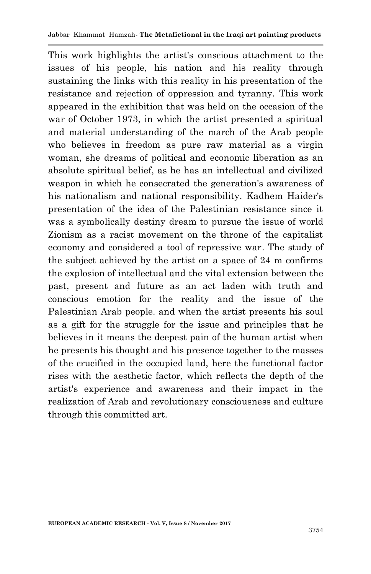This work highlights the artist's conscious attachment to the issues of his people, his nation and his reality through sustaining the links with this reality in his presentation of the resistance and rejection of oppression and tyranny. This work appeared in the exhibition that was held on the occasion of the war of October 1973, in which the artist presented a spiritual and material understanding of the march of the Arab people who believes in freedom as pure raw material as a virgin woman, she dreams of political and economic liberation as an absolute spiritual belief, as he has an intellectual and civilized weapon in which he consecrated the generation's awareness of his nationalism and national responsibility. Kadhem Haider's presentation of the idea of the Palestinian resistance since it was a symbolically destiny dream to pursue the issue of world Zionism as a racist movement on the throne of the capitalist economy and considered a tool of repressive war. The study of the subject achieved by the artist on a space of 24 m confirms the explosion of intellectual and the vital extension between the past, present and future as an act laden with truth and conscious emotion for the reality and the issue of the Palestinian Arab people. and when the artist presents his soul as a gift for the struggle for the issue and principles that he believes in it means the deepest pain of the human artist when he presents his thought and his presence together to the masses of the crucified in the occupied land, here the functional factor rises with the aesthetic factor, which reflects the depth of the artist's experience and awareness and their impact in the realization of Arab and revolutionary consciousness and culture through this committed art.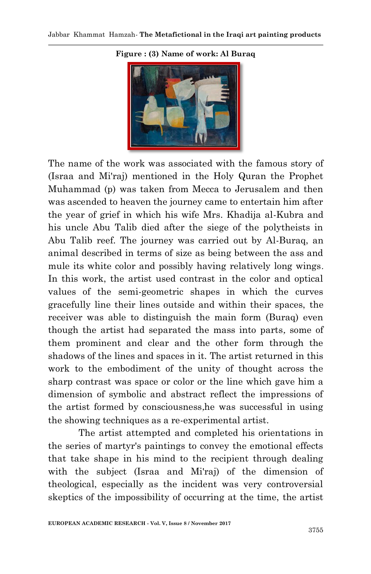

#### **Figure : (3) Name of work: Al Buraq**

The name of the work was associated with the famous story of (Israa and Mi'raj) mentioned in the Holy Quran the Prophet Muhammad (p) was taken from Mecca to Jerusalem and then was ascended to heaven the journey came to entertain him after the year of grief in which his wife Mrs. Khadija al-Kubra and his uncle Abu Talib died after the siege of the polytheists in Abu Talib reef. The journey was carried out by Al-Buraq, an animal described in terms of size as being between the ass and mule its white color and possibly having relatively long wings. In this work, the artist used contrast in the color and optical values of the semi-geometric shapes in which the curves gracefully line their lines outside and within their spaces, the receiver was able to distinguish the main form (Buraq) even though the artist had separated the mass into parts, some of them prominent and clear and the other form through the shadows of the lines and spaces in it. The artist returned in this work to the embodiment of the unity of thought across the sharp contrast was space or color or the line which gave him a dimension of symbolic and abstract reflect the impressions of the artist formed by consciousness,he was successful in using the showing techniques as a re-experimental artist.

The artist attempted and completed his orientations in the series of martyr's paintings to convey the emotional effects that take shape in his mind to the recipient through dealing with the subject (Israa and Mi'raj) of the dimension of theological, especially as the incident was very controversial skeptics of the impossibility of occurring at the time, the artist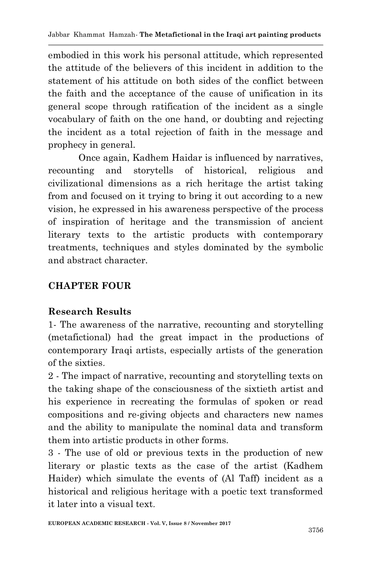embodied in this work his personal attitude, which represented the attitude of the believers of this incident in addition to the statement of his attitude on both sides of the conflict between the faith and the acceptance of the cause of unification in its general scope through ratification of the incident as a single vocabulary of faith on the one hand, or doubting and rejecting the incident as a total rejection of faith in the message and prophecy in general.

Once again, Kadhem Haidar is influenced by narratives, recounting and storytells of historical, religious and civilizational dimensions as a rich heritage the artist taking from and focused on it trying to bring it out according to a new vision, he expressed in his awareness perspective of the process of inspiration of heritage and the transmission of ancient literary texts to the artistic products with contemporary treatments, techniques and styles dominated by the symbolic and abstract character.

## **CHAPTER FOUR**

## **Research Results**

1- The awareness of the narrative, recounting and storytelling (metafictional) had the great impact in the productions of contemporary Iraqi artists, especially artists of the generation of the sixties.

2 - The impact of narrative, recounting and storytelling texts on the taking shape of the consciousness of the sixtieth artist and his experience in recreating the formulas of spoken or read compositions and re-giving objects and characters new names and the ability to manipulate the nominal data and transform them into artistic products in other forms.

3 - The use of old or previous texts in the production of new literary or plastic texts as the case of the artist (Kadhem Haider) which simulate the events of (Al Taff) incident as a historical and religious heritage with a poetic text transformed it later into a visual text.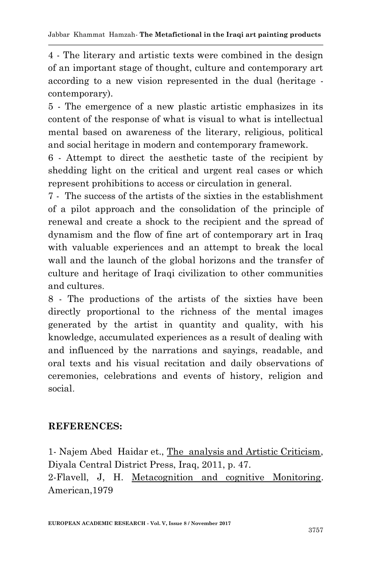4 - The literary and artistic texts were combined in the design of an important stage of thought, culture and contemporary art according to a new vision represented in the dual (heritage contemporary).

5 - The emergence of a new plastic artistic emphasizes in its content of the response of what is visual to what is intellectual mental based on awareness of the literary, religious, political and social heritage in modern and contemporary framework.

6 - Attempt to direct the aesthetic taste of the recipient by shedding light on the critical and urgent real cases or which represent prohibitions to access or circulation in general.

7 - The success of the artists of the sixties in the establishment of a pilot approach and the consolidation of the principle of renewal and create a shock to the recipient and the spread of dynamism and the flow of fine art of contemporary art in Iraq with valuable experiences and an attempt to break the local wall and the launch of the global horizons and the transfer of culture and heritage of Iraqi civilization to other communities and cultures.

8 - The productions of the artists of the sixties have been directly proportional to the richness of the mental images generated by the artist in quantity and quality, with his knowledge, accumulated experiences as a result of dealing with and influenced by the narrations and sayings, readable, and oral texts and his visual recitation and daily observations of ceremonies, celebrations and events of history, religion and social.

## **REFERENCES:**

1- Najem Abed Haidar et., The analysis and Artistic Criticism, Diyala Central District Press, Iraq, 2011, p. 47. 2-Flavell, J, H. Metacognition and cognitive Monitoring. American,1979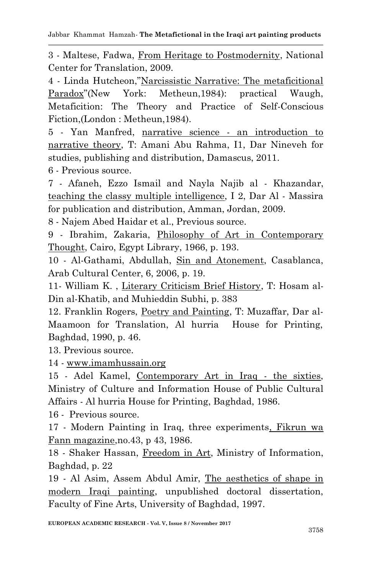3 - Maltese, Fadwa, From Heritage to Postmodernity, National Center for Translation, 2009.

4 - Linda Hutcheon,"Narcissistic Narrative: The metaficitional Paradox"(New York: Metheun,1984): practical Waugh, Metaficition: The Theory and Practice of Self-Conscious Fiction,(London : Metheun,1984).

5 - Yan Manfred, narrative science - an introduction to narrative theory, T: Amani Abu Rahma, I1, Dar Nineveh for studies, publishing and distribution, Damascus, 2011.

6 - Previous source.

7 - Afaneh, Ezzo Ismail and Nayla Najib al - Khazandar, teaching the classy multiple intelligence, I 2, Dar Al - Massira for publication and distribution, Amman, Jordan, 2009.

8 - Najem Abed Haidar et al., Previous source.

9 - Ibrahim, Zakaria, Philosophy of Art in Contemporary Thought, Cairo, Egypt Library, 1966, p. 193.

10 - Al-Gathami, Abdullah, Sin and Atonement, Casablanca, Arab Cultural Center, 6, 2006, p. 19.

11- William K. , Literary Criticism Brief History, T: Hosam al-Din al-Khatib, and Muhieddin Subhi, p. 383

12. Franklin Rogers, Poetry and Painting, T: Muzaffar, Dar al-Maamoon for Translation, Al hurria House for Printing, Baghdad, 1990, p. 46.

13. Previous source.

14 - [www.imamhussain.org](http://www.imamhussain.org/)

15 - Adel Kamel, Contemporary Art in Iraq - the sixties, Ministry of Culture and Information House of Public Cultural Affairs - Al hurria House for Printing, Baghdad, 1986.

16 - Previous source.

17 - Modern Painting in Iraq, three experiments, Fikrun wa Fann magazine,no.43, p 43, 1986.

18 - Shaker Hassan, Freedom in Art, Ministry of Information, Baghdad, p. 22

19 - Al Asim, Assem Abdul Amir, The aesthetics of shape in modern Iraqi painting, unpublished doctoral dissertation, Faculty of Fine Arts, University of Baghdad, 1997.